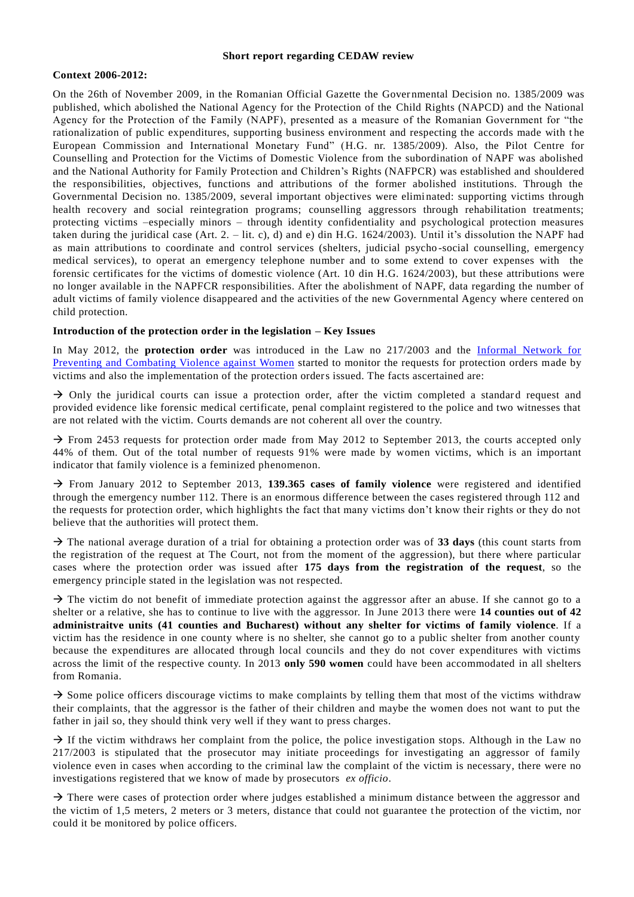#### **Short report regarding CEDAW review**

### **Context 2006-2012:**

On the 26th of November 2009, in the Romanian Official Gazette the Gover nmental Decision no. 1385/2009 was published, which abolished the National Agency for the Protection of the Child Rights (NAPCD) and the National Agency for the Protection of the Family (NAPF), presented as a measure of the Romanian Government for "the rationalization of public expenditures, supporting business environment and respecting the accords made with t he European Commission and International Monetary Fund" (H.G. nr. 1385/2009). Also, the Pilot Centre for Counselling and Protection for the Victims of Domestic Violence from the subordination of NAPF was abolished and the National Authority for Family Protection and Children's Rights (NAFPCR) was established and shouldered the responsibilities, objectives, functions and attributions of the former abolished institutions. Through the Governmental Decision no. 1385/2009, several important objectives were elimi nated: supporting victims through health recovery and social reintegration programs; counselling aggressors through rehabilitation treatments; protecting victims –especially minors – through identity confidentiality and psychological protection measures taken during the juridical case (Art. 2. – lit. c), d) and e) din H.G. 1624/2003). Until it's dissolution the NAPF had as main attributions to coordinate and control services (shelters, judicial psycho -social counselling, emergency medical services), to operat an emergency telephone number and to some extend to cover expenses with the forensic certificates for the victims of domestic violence (Art. 10 din H.G. 1624/2003), but these attributions were no longer available in the NAPFCR responsibilities. After the abolishment of NAPF, data regarding the number of adult victims of family violence disappeared and the activities of the new Governmental Agency where centered on child protection.

# **Introduction of the protection order in the legislation – Key Issues**

In May 2012, the **protection order** was introduced in the Law no 217/2003 and the [Informal Network for](http://violentaimpotrivafemeilor.ro/)  [Preventing and Combating Violence against Women](http://violentaimpotrivafemeilor.ro/) started to monitor the requests for protection orders made by victims and also the implementation of the protection orders issued. The facts ascertained are:

 $\rightarrow$  Only the juridical courts can issue a protection order, after the victim completed a standard request and provided evidence like forensic medical certificate, penal complaint registered to the police and two witnesses that are not related with the victim. Courts demands are not coherent all over the country.

 $\rightarrow$  From 2453 requests for protection order made from May 2012 to September 2013, the courts accepted only 44% of them. Out of the total number of requests 91% were made by women victims, which is an important indicator that family violence is a feminized phenomenon.

 From January 2012 to September 2013, **139.365 cases of family violence** were registered and identified through the emergency number 112. There is an enormous difference between the cases registered through 112 and the requests for protection order, which highlights the fact that many victims don't know their rights or they do not believe that the authorities will protect them.

 $\rightarrow$  The national average duration of a trial for obtaining a protection order was of **33 days** (this count starts from the registration of the request at The Court, not from the moment of the aggression), but there where particular cases where the protection order was issued after **175 days from the registration of the request**, so the emergency principle stated in the legislation was not respected.

> The victim do not benefit of immediate protection against the aggressor after an abuse. If she cannot go to a shelter or a relative, she has to continue to live with the aggressor. In June 2013 there were **14 counties out of 42 administraitve units (41 counties and Bucharest) without any shelter for victims of family violence**. If a victim has the residence in one county where is no shelter, she cannot go to a public shelter from another county because the expenditures are allocated through local councils and they do not cover expenditures with victims across the limit of the respective county. In 2013 **only 590 women** could have been accommodated in all shelters from Romania.

 $\rightarrow$  Some police officers discourage victims to make complaints by telling them that most of the victims withdraw their complaints, that the aggressor is the father of their children and maybe the women does not want to put the father in jail so, they should think very well if they want to press charges.

 $\rightarrow$  If the victim withdraws her complaint from the police, the police investigation stops. Although in the Law no 217/2003 is stipulated that the prosecutor may initiate proceedings for investigating an aggressor of family violence even in cases when according to the criminal law the complaint of the victim is necessary, there were no investigations registered that we know of made by prosecutors *ex officio*.

 $\rightarrow$  There were cases of protection order where judges established a minimum distance between the aggressor and the victim of 1,5 meters, 2 meters or 3 meters, distance that could not guarantee t he protection of the victim, nor could it be monitored by police officers.